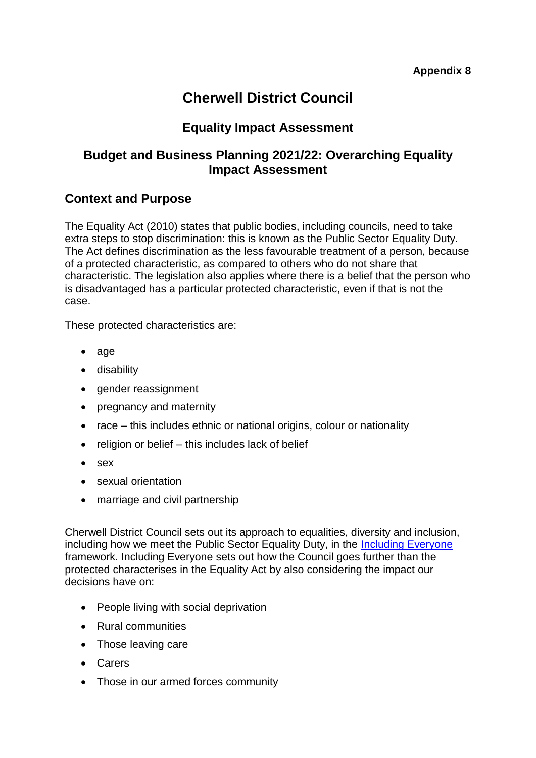## **Cherwell District Council**

### **Equality Impact Assessment**

#### **Budget and Business Planning 2021/22: Overarching Equality Impact Assessment**

#### **Context and Purpose**

The Equality Act (2010) states that public bodies, including councils, need to take extra steps to stop discrimination: this is known as the Public Sector Equality Duty. The Act defines discrimination as the less favourable treatment of a person, because of a protected characteristic, as compared to others who do not share that characteristic. The legislation also applies where there is a belief that the person who is disadvantaged has a particular protected characteristic, even if that is not the case.

These protected characteristics are:

- age
- disability
- gender reassignment
- pregnancy and maternity
- race this includes ethnic or national origins, colour or nationality
- $\bullet$  religion or belief this includes lack of belief
- sex
- sexual orientation
- marriage and civil partnership

Cherwell District Council sets out its approach to equalities, diversity and inclusion, including how we meet the Public Sector Equality Duty, in the [Including Everyone](https://modgov.cherwell.gov.uk/documents/s45058/Appendix%201-%20Including%20Everyone.pdf) framework. Including Everyone sets out how the Council goes further than the protected characterises in the Equality Act by also considering the impact our decisions have on:

- People living with social deprivation
- Rural communities
- Those leaving care
- Carers
- Those in our armed forces community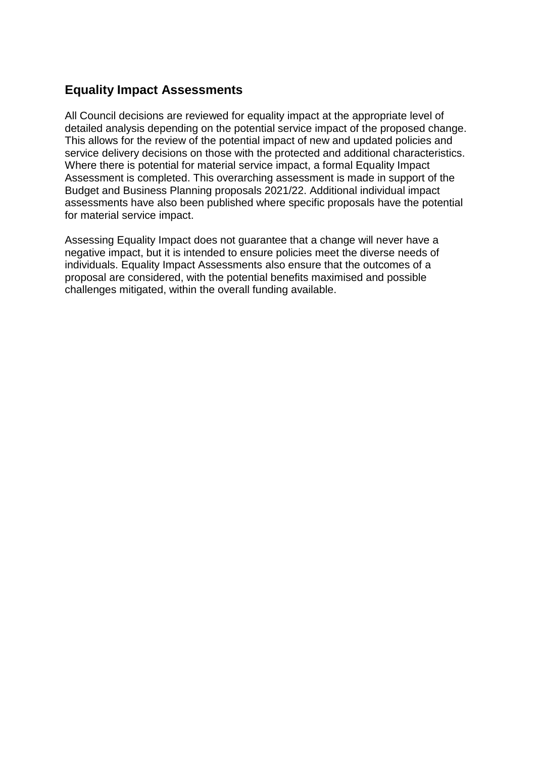#### **Equality Impact Assessments**

All Council decisions are reviewed for equality impact at the appropriate level of detailed analysis depending on the potential service impact of the proposed change. This allows for the review of the potential impact of new and updated policies and service delivery decisions on those with the protected and additional characteristics. Where there is potential for material service impact, a formal Equality Impact Assessment is completed. This overarching assessment is made in support of the Budget and Business Planning proposals 2021/22. Additional individual impact assessments have also been published where specific proposals have the potential for material service impact.

Assessing Equality Impact does not guarantee that a change will never have a negative impact, but it is intended to ensure policies meet the diverse needs of individuals. Equality Impact Assessments also ensure that the outcomes of a proposal are considered, with the potential benefits maximised and possible challenges mitigated, within the overall funding available.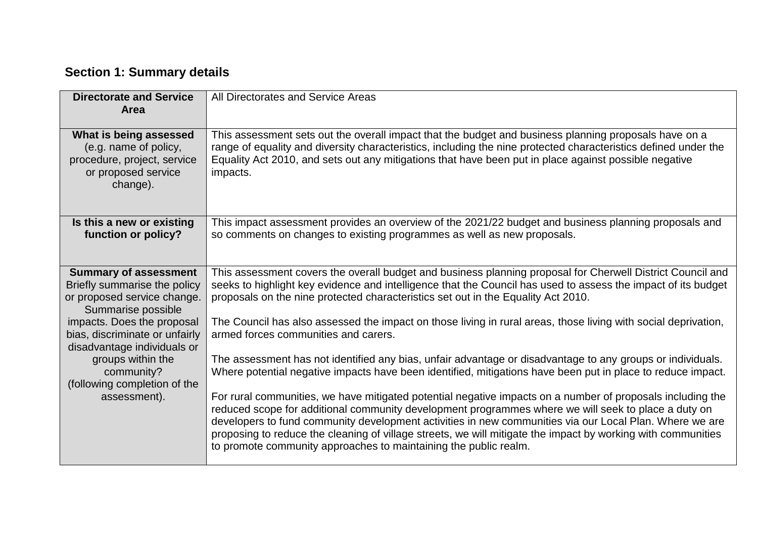## **Section 1: Summary details**

| <b>Directorate and Service</b><br>Area                                                                            | All Directorates and Service Areas                                                                                                                                                                                                                                                                                                                                                                                                                                                                               |
|-------------------------------------------------------------------------------------------------------------------|------------------------------------------------------------------------------------------------------------------------------------------------------------------------------------------------------------------------------------------------------------------------------------------------------------------------------------------------------------------------------------------------------------------------------------------------------------------------------------------------------------------|
| What is being assessed<br>(e.g. name of policy,<br>procedure, project, service<br>or proposed service<br>change). | This assessment sets out the overall impact that the budget and business planning proposals have on a<br>range of equality and diversity characteristics, including the nine protected characteristics defined under the<br>Equality Act 2010, and sets out any mitigations that have been put in place against possible negative<br>impacts.                                                                                                                                                                    |
| Is this a new or existing<br>function or policy?                                                                  | This impact assessment provides an overview of the 2021/22 budget and business planning proposals and<br>so comments on changes to existing programmes as well as new proposals.                                                                                                                                                                                                                                                                                                                                 |
| <b>Summary of assessment</b><br>Briefly summarise the policy<br>or proposed service change.<br>Summarise possible | This assessment covers the overall budget and business planning proposal for Cherwell District Council and<br>seeks to highlight key evidence and intelligence that the Council has used to assess the impact of its budget<br>proposals on the nine protected characteristics set out in the Equality Act 2010.                                                                                                                                                                                                 |
| impacts. Does the proposal<br>bias, discriminate or unfairly<br>disadvantage individuals or                       | The Council has also assessed the impact on those living in rural areas, those living with social deprivation,<br>armed forces communities and carers.                                                                                                                                                                                                                                                                                                                                                           |
| groups within the<br>community?<br>(following completion of the                                                   | The assessment has not identified any bias, unfair advantage or disadvantage to any groups or individuals.<br>Where potential negative impacts have been identified, mitigations have been put in place to reduce impact.                                                                                                                                                                                                                                                                                        |
| assessment).                                                                                                      | For rural communities, we have mitigated potential negative impacts on a number of proposals including the<br>reduced scope for additional community development programmes where we will seek to place a duty on<br>developers to fund community development activities in new communities via our Local Plan. Where we are<br>proposing to reduce the cleaning of village streets, we will mitigate the impact by working with communities<br>to promote community approaches to maintaining the public realm. |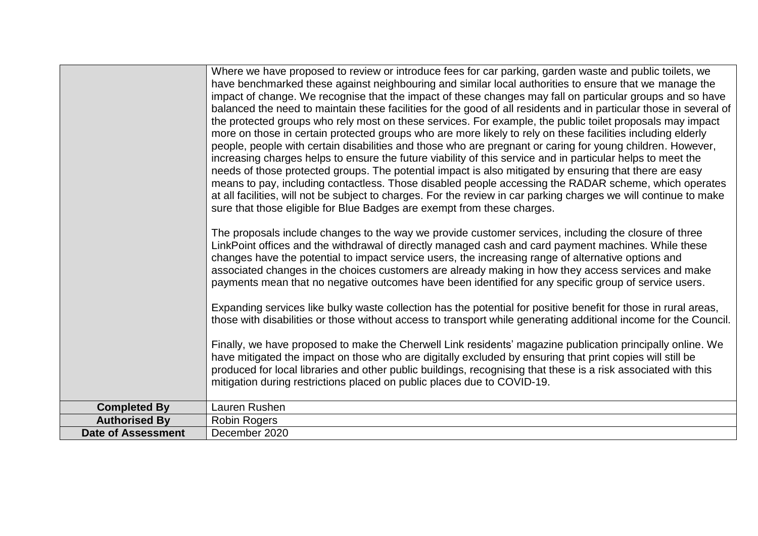|                           | Where we have proposed to review or introduce fees for car parking, garden waste and public toilets, we<br>have benchmarked these against neighbouring and similar local authorities to ensure that we manage the<br>impact of change. We recognise that the impact of these changes may fall on particular groups and so have<br>balanced the need to maintain these facilities for the good of all residents and in particular those in several of<br>the protected groups who rely most on these services. For example, the public toilet proposals may impact<br>more on those in certain protected groups who are more likely to rely on these facilities including elderly<br>people, people with certain disabilities and those who are pregnant or caring for young children. However,<br>increasing charges helps to ensure the future viability of this service and in particular helps to meet the<br>needs of those protected groups. The potential impact is also mitigated by ensuring that there are easy<br>means to pay, including contactless. Those disabled people accessing the RADAR scheme, which operates<br>at all facilities, will not be subject to charges. For the review in car parking charges we will continue to make<br>sure that those eligible for Blue Badges are exempt from these charges. |
|---------------------------|-----------------------------------------------------------------------------------------------------------------------------------------------------------------------------------------------------------------------------------------------------------------------------------------------------------------------------------------------------------------------------------------------------------------------------------------------------------------------------------------------------------------------------------------------------------------------------------------------------------------------------------------------------------------------------------------------------------------------------------------------------------------------------------------------------------------------------------------------------------------------------------------------------------------------------------------------------------------------------------------------------------------------------------------------------------------------------------------------------------------------------------------------------------------------------------------------------------------------------------------------------------------------------------------------------------------------------------|
|                           | The proposals include changes to the way we provide customer services, including the closure of three<br>LinkPoint offices and the withdrawal of directly managed cash and card payment machines. While these<br>changes have the potential to impact service users, the increasing range of alternative options and<br>associated changes in the choices customers are already making in how they access services and make<br>payments mean that no negative outcomes have been identified for any specific group of service users.                                                                                                                                                                                                                                                                                                                                                                                                                                                                                                                                                                                                                                                                                                                                                                                              |
|                           | Expanding services like bulky waste collection has the potential for positive benefit for those in rural areas,<br>those with disabilities or those without access to transport while generating additional income for the Council.                                                                                                                                                                                                                                                                                                                                                                                                                                                                                                                                                                                                                                                                                                                                                                                                                                                                                                                                                                                                                                                                                               |
|                           | Finally, we have proposed to make the Cherwell Link residents' magazine publication principally online. We<br>have mitigated the impact on those who are digitally excluded by ensuring that print copies will still be<br>produced for local libraries and other public buildings, recognising that these is a risk associated with this<br>mitigation during restrictions placed on public places due to COVID-19.                                                                                                                                                                                                                                                                                                                                                                                                                                                                                                                                                                                                                                                                                                                                                                                                                                                                                                              |
| <b>Completed By</b>       | Lauren Rushen                                                                                                                                                                                                                                                                                                                                                                                                                                                                                                                                                                                                                                                                                                                                                                                                                                                                                                                                                                                                                                                                                                                                                                                                                                                                                                                     |
| <b>Authorised By</b>      | <b>Robin Rogers</b>                                                                                                                                                                                                                                                                                                                                                                                                                                                                                                                                                                                                                                                                                                                                                                                                                                                                                                                                                                                                                                                                                                                                                                                                                                                                                                               |
| <b>Date of Assessment</b> | December 2020                                                                                                                                                                                                                                                                                                                                                                                                                                                                                                                                                                                                                                                                                                                                                                                                                                                                                                                                                                                                                                                                                                                                                                                                                                                                                                                     |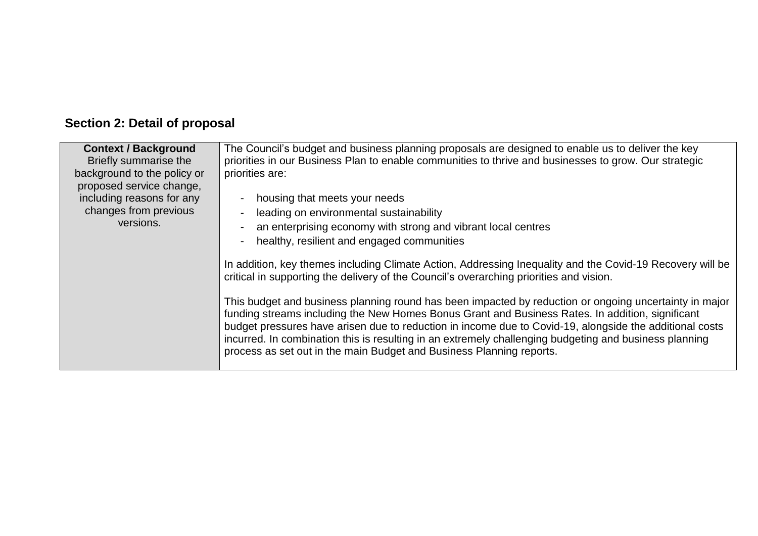# **Section 2: Detail of proposal**

| <b>Context / Background</b><br>Briefly summarise the                                                          | The Council's budget and business planning proposals are designed to enable us to deliver the key<br>priorities in our Business Plan to enable communities to thrive and businesses to grow. Our strategic                                                                                                                                                                                                                                                                                              |
|---------------------------------------------------------------------------------------------------------------|---------------------------------------------------------------------------------------------------------------------------------------------------------------------------------------------------------------------------------------------------------------------------------------------------------------------------------------------------------------------------------------------------------------------------------------------------------------------------------------------------------|
| background to the policy or<br>proposed service change,<br>including reasons for any<br>changes from previous | priorities are:<br>housing that meets your needs<br>leading on environmental sustainability                                                                                                                                                                                                                                                                                                                                                                                                             |
| versions.                                                                                                     | an enterprising economy with strong and vibrant local centres<br>healthy, resilient and engaged communities                                                                                                                                                                                                                                                                                                                                                                                             |
|                                                                                                               | In addition, key themes including Climate Action, Addressing Inequality and the Covid-19 Recovery will be<br>critical in supporting the delivery of the Council's overarching priorities and vision.                                                                                                                                                                                                                                                                                                    |
|                                                                                                               | This budget and business planning round has been impacted by reduction or ongoing uncertainty in major<br>funding streams including the New Homes Bonus Grant and Business Rates. In addition, significant<br>budget pressures have arisen due to reduction in income due to Covid-19, alongside the additional costs<br>incurred. In combination this is resulting in an extremely challenging budgeting and business planning<br>process as set out in the main Budget and Business Planning reports. |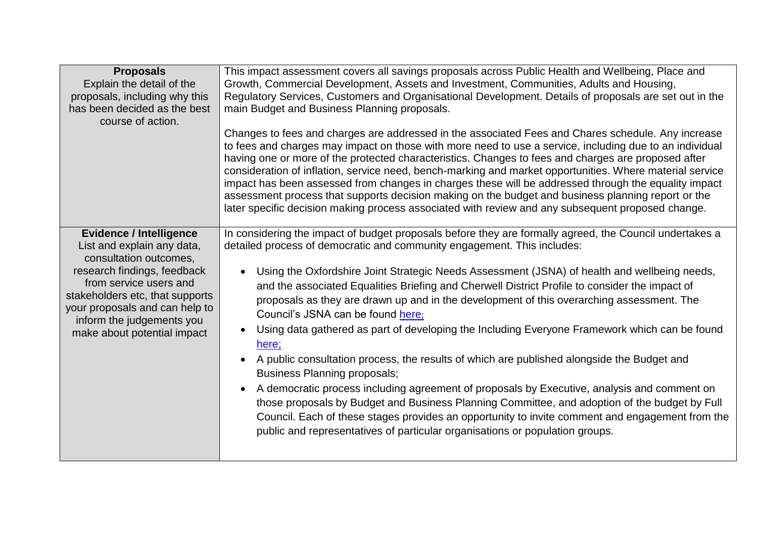| <b>Proposals</b><br>Explain the detail of the<br>proposals, including why this<br>has been decided as the best<br>course of action.                                                                                                                                              | This impact assessment covers all savings proposals across Public Health and Wellbeing, Place and<br>Growth, Commercial Development, Assets and Investment, Communities, Adults and Housing,<br>Regulatory Services, Customers and Organisational Development. Details of proposals are set out in the<br>main Budget and Business Planning proposals.<br>Changes to fees and charges are addressed in the associated Fees and Chares schedule. Any increase<br>to fees and charges may impact on those with more need to use a service, including due to an individual<br>having one or more of the protected characteristics. Changes to fees and charges are proposed after<br>consideration of inflation, service need, bench-marking and market opportunities. Where material service<br>impact has been assessed from changes in charges these will be addressed through the equality impact<br>assessment process that supports decision making on the budget and business planning report or the<br>later specific decision making process associated with review and any subsequent proposed change.                                                                                                |
|----------------------------------------------------------------------------------------------------------------------------------------------------------------------------------------------------------------------------------------------------------------------------------|--------------------------------------------------------------------------------------------------------------------------------------------------------------------------------------------------------------------------------------------------------------------------------------------------------------------------------------------------------------------------------------------------------------------------------------------------------------------------------------------------------------------------------------------------------------------------------------------------------------------------------------------------------------------------------------------------------------------------------------------------------------------------------------------------------------------------------------------------------------------------------------------------------------------------------------------------------------------------------------------------------------------------------------------------------------------------------------------------------------------------------------------------------------------------------------------------------------|
| <b>Evidence / Intelligence</b><br>List and explain any data,<br>consultation outcomes,<br>research findings, feedback<br>from service users and<br>stakeholders etc, that supports<br>your proposals and can help to<br>inform the judgements you<br>make about potential impact | In considering the impact of budget proposals before they are formally agreed, the Council undertakes a<br>detailed process of democratic and community engagement. This includes:<br>Using the Oxfordshire Joint Strategic Needs Assessment (JSNA) of health and wellbeing needs,<br>$\bullet$<br>and the associated Equalities Briefing and Cherwell District Profile to consider the impact of<br>proposals as they are drawn up and in the development of this overarching assessment. The<br>Council's JSNA can be found here;<br>Using data gathered as part of developing the Including Everyone Framework which can be found<br>$\bullet$<br>here;<br>A public consultation process, the results of which are published alongside the Budget and<br>$\bullet$<br><b>Business Planning proposals;</b><br>A democratic process including agreement of proposals by Executive, analysis and comment on<br>$\bullet$<br>those proposals by Budget and Business Planning Committee, and adoption of the budget by Full<br>Council. Each of these stages provides an opportunity to invite comment and engagement from the<br>public and representatives of particular organisations or population groups. |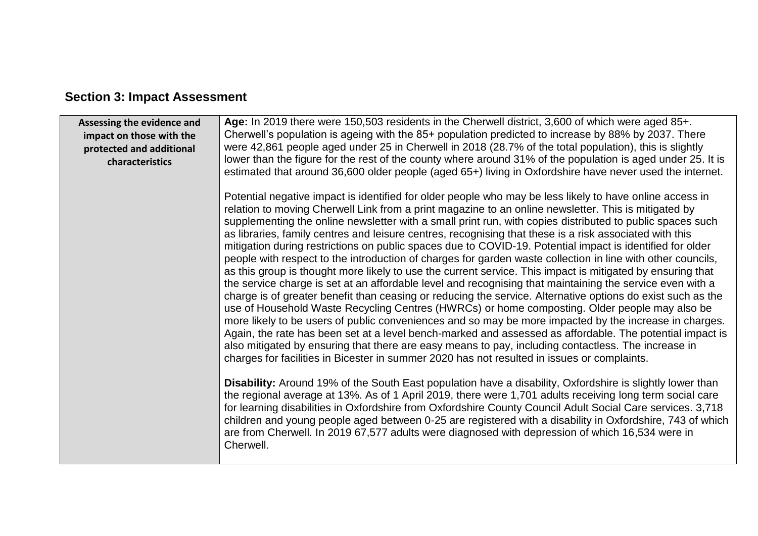| Assessing the evidence and<br>impact on those with the<br>protected and additional | Age: In 2019 there were 150,503 residents in the Cherwell district, 3,600 of which were aged 85+.<br>Cherwell's population is ageing with the 85+ population predicted to increase by 88% by 2037. There<br>were 42,861 people aged under 25 in Cherwell in 2018 (28.7% of the total population), this is slightly                                                                                                                                                                                                                                                                                                                                                                                                                                                                                                                                                                                                                                                                                                                                                                                                                                                                                                                                                                                                                                                                                                                                                                                                                          |
|------------------------------------------------------------------------------------|---------------------------------------------------------------------------------------------------------------------------------------------------------------------------------------------------------------------------------------------------------------------------------------------------------------------------------------------------------------------------------------------------------------------------------------------------------------------------------------------------------------------------------------------------------------------------------------------------------------------------------------------------------------------------------------------------------------------------------------------------------------------------------------------------------------------------------------------------------------------------------------------------------------------------------------------------------------------------------------------------------------------------------------------------------------------------------------------------------------------------------------------------------------------------------------------------------------------------------------------------------------------------------------------------------------------------------------------------------------------------------------------------------------------------------------------------------------------------------------------------------------------------------------------|
| characteristics                                                                    | lower than the figure for the rest of the county where around 31% of the population is aged under 25. It is<br>estimated that around 36,600 older people (aged 65+) living in Oxfordshire have never used the internet.                                                                                                                                                                                                                                                                                                                                                                                                                                                                                                                                                                                                                                                                                                                                                                                                                                                                                                                                                                                                                                                                                                                                                                                                                                                                                                                     |
|                                                                                    | Potential negative impact is identified for older people who may be less likely to have online access in<br>relation to moving Cherwell Link from a print magazine to an online newsletter. This is mitigated by<br>supplementing the online newsletter with a small print run, with copies distributed to public spaces such<br>as libraries, family centres and leisure centres, recognising that these is a risk associated with this<br>mitigation during restrictions on public spaces due to COVID-19. Potential impact is identified for older<br>people with respect to the introduction of charges for garden waste collection in line with other councils,<br>as this group is thought more likely to use the current service. This impact is mitigated by ensuring that<br>the service charge is set at an affordable level and recognising that maintaining the service even with a<br>charge is of greater benefit than ceasing or reducing the service. Alternative options do exist such as the<br>use of Household Waste Recycling Centres (HWRCs) or home composting. Older people may also be<br>more likely to be users of public conveniences and so may be more impacted by the increase in charges.<br>Again, the rate has been set at a level bench-marked and assessed as affordable. The potential impact is<br>also mitigated by ensuring that there are easy means to pay, including contactless. The increase in<br>charges for facilities in Bicester in summer 2020 has not resulted in issues or complaints. |
|                                                                                    | <b>Disability:</b> Around 19% of the South East population have a disability, Oxfordshire is slightly lower than<br>the regional average at 13%. As of 1 April 2019, there were 1,701 adults receiving long term social care<br>for learning disabilities in Oxfordshire from Oxfordshire County Council Adult Social Care services. 3,718<br>children and young people aged between 0-25 are registered with a disability in Oxfordshire, 743 of which<br>are from Cherwell. In 2019 67,577 adults were diagnosed with depression of which 16,534 were in<br>Cherwell.                                                                                                                                                                                                                                                                                                                                                                                                                                                                                                                                                                                                                                                                                                                                                                                                                                                                                                                                                                     |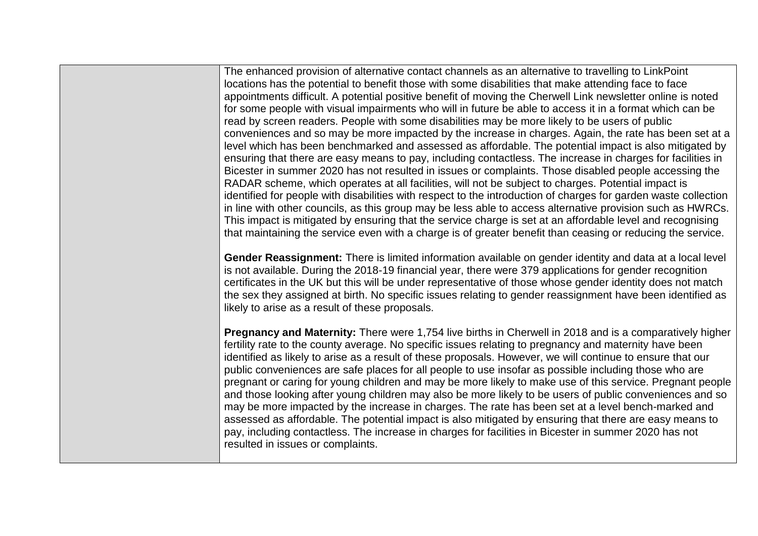The enhanced provision of alternative contact channels as an alternative to travelling to LinkPoint locations has the potential to benefit those with some disabilities that make attending face to face appointments difficult. A potential positive benefit of moving the Cherwell Link newsletter online is noted for some people with visual impairments who will in future be able to access it in a format which can be read by screen readers. People with some disabilities may be more likely to be users of public conveniences and so may be more impacted by the increase in charges. Again, the rate has been set at a level which has been benchmarked and assessed as affordable. The potential impact is also mitigated by ensuring that there are easy means to pay, including contactless. The increase in charges for facilities in Bicester in summer 2020 has not resulted in issues or complaints. Those disabled people accessing the RADAR scheme, which operates at all facilities, will not be subject to charges. Potential impact is identified for people with disabilities with respect to the introduction of charges for garden waste collection in line with other councils, as this group may be less able to access alternative provision such as HWRCs. This impact is mitigated by ensuring that the service charge is set at an affordable level and recognising that maintaining the service even with a charge is of greater benefit than ceasing or reducing the service.

**Gender Reassignment:** There is limited information available on gender identity and data at a local level is not available. During the 2018-19 financial year, there were 379 applications for gender recognition certificates in the UK but this will be under representative of those whose gender identity does not match the sex they assigned at birth. No specific issues relating to gender reassignment have been identified as likely to arise as a result of these proposals.

**Pregnancy and Maternity:** There were 1,754 live births in Cherwell in 2018 and is a comparatively higher fertility rate to the county average. No specific issues relating to pregnancy and maternity have been identified as likely to arise as a result of these proposals. However, we will continue to ensure that our public conveniences are safe places for all people to use insofar as possible including those who are pregnant or caring for young children and may be more likely to make use of this service. Pregnant people and those looking after young children may also be more likely to be users of public conveniences and so may be more impacted by the increase in charges. The rate has been set at a level bench-marked and assessed as affordable. The potential impact is also mitigated by ensuring that there are easy means to pay, including contactless. The increase in charges for facilities in Bicester in summer 2020 has not resulted in issues or complaints.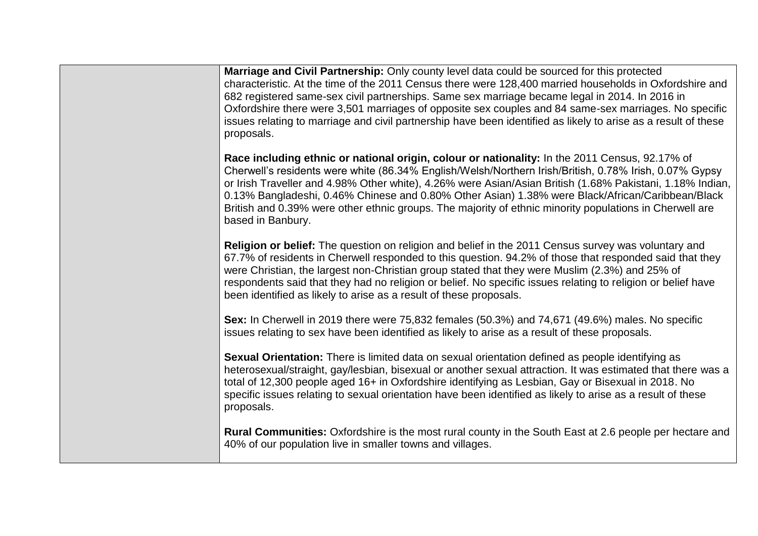| Marriage and Civil Partnership: Only county level data could be sourced for this protected<br>characteristic. At the time of the 2011 Census there were 128,400 married households in Oxfordshire and<br>682 registered same-sex civil partnerships. Same sex marriage became legal in 2014. In 2016 in<br>Oxfordshire there were 3,501 marriages of opposite sex couples and 84 same-sex marriages. No specific<br>issues relating to marriage and civil partnership have been identified as likely to arise as a result of these<br>proposals.          |
|-----------------------------------------------------------------------------------------------------------------------------------------------------------------------------------------------------------------------------------------------------------------------------------------------------------------------------------------------------------------------------------------------------------------------------------------------------------------------------------------------------------------------------------------------------------|
| Race including ethnic or national origin, colour or nationality: In the 2011 Census, 92.17% of<br>Cherwell's residents were white (86.34% English/Welsh/Northern Irish/British, 0.78% Irish, 0.07% Gypsy<br>or Irish Traveller and 4.98% Other white), 4.26% were Asian/Asian British (1.68% Pakistani, 1.18% Indian,<br>0.13% Bangladeshi, 0.46% Chinese and 0.80% Other Asian) 1.38% were Black/African/Caribbean/Black<br>British and 0.39% were other ethnic groups. The majority of ethnic minority populations in Cherwell are<br>based in Banbury. |
| Religion or belief: The question on religion and belief in the 2011 Census survey was voluntary and<br>67.7% of residents in Cherwell responded to this question. 94.2% of those that responded said that they<br>were Christian, the largest non-Christian group stated that they were Muslim (2.3%) and 25% of<br>respondents said that they had no religion or belief. No specific issues relating to religion or belief have<br>been identified as likely to arise as a result of these proposals.                                                    |
| Sex: In Cherwell in 2019 there were 75,832 females (50.3%) and 74,671 (49.6%) males. No specific<br>issues relating to sex have been identified as likely to arise as a result of these proposals.                                                                                                                                                                                                                                                                                                                                                        |
| Sexual Orientation: There is limited data on sexual orientation defined as people identifying as<br>heterosexual/straight, gay/lesbian, bisexual or another sexual attraction. It was estimated that there was a<br>total of 12,300 people aged 16+ in Oxfordshire identifying as Lesbian, Gay or Bisexual in 2018. No<br>specific issues relating to sexual orientation have been identified as likely to arise as a result of these<br>proposals.                                                                                                       |
| Rural Communities: Oxfordshire is the most rural county in the South East at 2.6 people per hectare and<br>40% of our population live in smaller towns and villages.                                                                                                                                                                                                                                                                                                                                                                                      |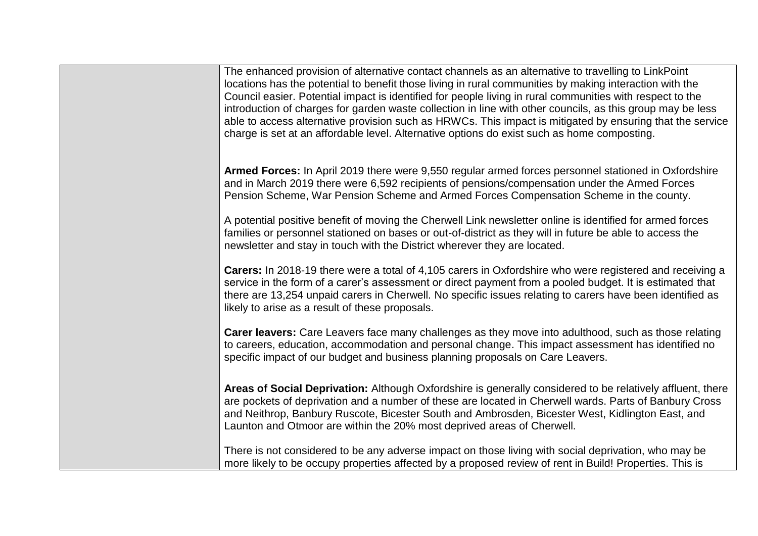| The enhanced provision of alternative contact channels as an alternative to travelling to LinkPoint<br>locations has the potential to benefit those living in rural communities by making interaction with the<br>Council easier. Potential impact is identified for people living in rural communities with respect to the<br>introduction of charges for garden waste collection in line with other councils, as this group may be less<br>able to access alternative provision such as HRWCs. This impact is mitigated by ensuring that the service<br>charge is set at an affordable level. Alternative options do exist such as home composting. |
|-------------------------------------------------------------------------------------------------------------------------------------------------------------------------------------------------------------------------------------------------------------------------------------------------------------------------------------------------------------------------------------------------------------------------------------------------------------------------------------------------------------------------------------------------------------------------------------------------------------------------------------------------------|
| Armed Forces: In April 2019 there were 9,550 regular armed forces personnel stationed in Oxfordshire<br>and in March 2019 there were 6,592 recipients of pensions/compensation under the Armed Forces<br>Pension Scheme, War Pension Scheme and Armed Forces Compensation Scheme in the county.                                                                                                                                                                                                                                                                                                                                                       |
| A potential positive benefit of moving the Cherwell Link newsletter online is identified for armed forces<br>families or personnel stationed on bases or out-of-district as they will in future be able to access the<br>newsletter and stay in touch with the District wherever they are located.                                                                                                                                                                                                                                                                                                                                                    |
| Carers: In 2018-19 there were a total of 4,105 carers in Oxfordshire who were registered and receiving a<br>service in the form of a carer's assessment or direct payment from a pooled budget. It is estimated that<br>there are 13,254 unpaid carers in Cherwell. No specific issues relating to carers have been identified as<br>likely to arise as a result of these proposals.                                                                                                                                                                                                                                                                  |
| <b>Carer leavers:</b> Care Leavers face many challenges as they move into adulthood, such as those relating<br>to careers, education, accommodation and personal change. This impact assessment has identified no<br>specific impact of our budget and business planning proposals on Care Leavers.                                                                                                                                                                                                                                                                                                                                                   |
| Areas of Social Deprivation: Although Oxfordshire is generally considered to be relatively affluent, there<br>are pockets of deprivation and a number of these are located in Cherwell wards. Parts of Banbury Cross<br>and Neithrop, Banbury Ruscote, Bicester South and Ambrosden, Bicester West, Kidlington East, and<br>Launton and Otmoor are within the 20% most deprived areas of Cherwell.                                                                                                                                                                                                                                                    |
| There is not considered to be any adverse impact on those living with social deprivation, who may be<br>more likely to be occupy properties affected by a proposed review of rent in Build! Properties. This is                                                                                                                                                                                                                                                                                                                                                                                                                                       |